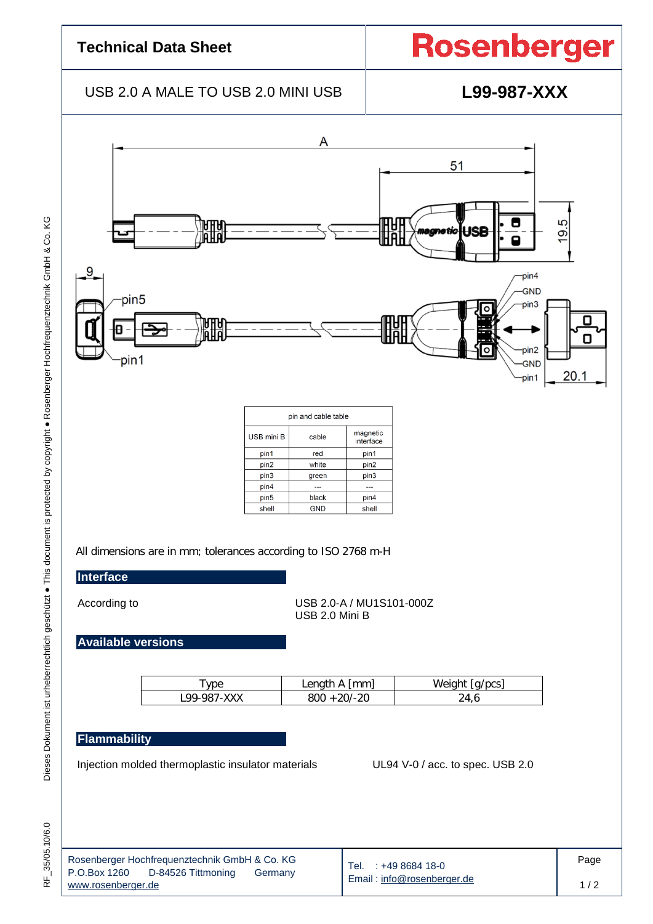## **Technical Data Sheet**

# **Rosenberger**

## USB 2.0 A MALE TO USB 2.0 MINI USB **L99-987-XXX**



#### **Flammability**

Injection molded thermoplastic insulator materials UL94 V-0 / acc. to spec. USB 2.0

| í |
|---|

| Rosenberger Hochfrequenztechnik GmbH & Co. KG<br>P.O.Box 1260 D-84526 Tittmoning<br>Germany<br>www.rosenberger.de | Tel. : +49 8684 18-0<br>Email: info@rosenberger.de | Page |
|-------------------------------------------------------------------------------------------------------------------|----------------------------------------------------|------|
|                                                                                                                   |                                                    |      |